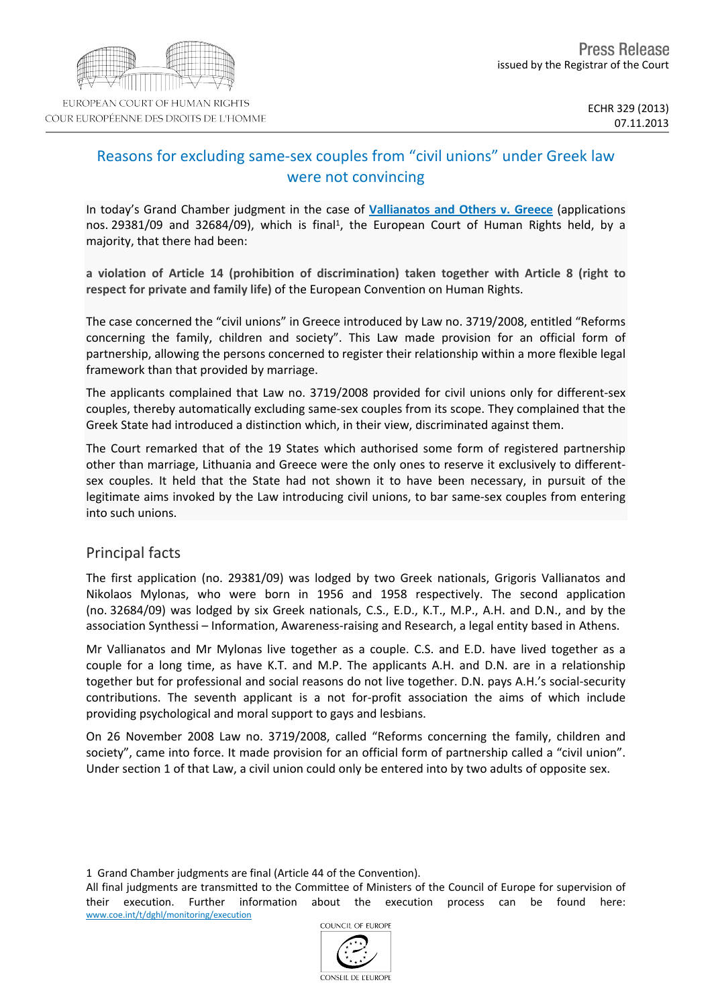

# Reasons for excluding same-sex couples from "civil unions" under Greek law were not convincing

In today's Grand Chamber judgment in the case of **[Vallianatos](http://hudoc.echr.coe.int/sites/eng/pages/search.aspx?i=001-128294) [and](http://hudoc.echr.coe.int/sites/eng/pages/search.aspx?i=001-128294) [Others](http://hudoc.echr.coe.int/sites/eng/pages/search.aspx?i=001-128294) [v.](http://hudoc.echr.coe.int/sites/eng/pages/search.aspx?i=001-128294) [Greece](http://hudoc.echr.coe.int/sites/eng/pages/search.aspx?i=001-128294)** (applications nos. 29381/09 and 32684/09), which is final<sup>1</sup>, the European Court of Human Rights held, by a majority, that there had been:

**a violation of Article 14 (prohibition of discrimination) taken together with Article 8 (right to respect for private and family life)** of the European Convention on Human Rights.

The case concerned the "civil unions" in Greece introduced by Law no. 3719/2008, entitled "Reforms concerning the family, children and society". This Law made provision for an official form of partnership, allowing the persons concerned to register their relationship within a more flexible legal framework than that provided by marriage.

The applicants complained that Law no. 3719/2008 provided for civil unions only for different-sex couples, thereby automatically excluding same-sex couples from its scope. They complained that the Greek State had introduced a distinction which, in their view, discriminated against them.

The Court remarked that of the 19 States which authorised some form of registered partnership other than marriage, Lithuania and Greece were the only ones to reserve it exclusively to differentsex couples. It held that the State had not shown it to have been necessary, in pursuit of the legitimate aims invoked by the Law introducing civil unions, to bar same-sex couples from entering into such unions.

## Principal facts

The first application (no. 29381/09) was lodged by two Greek nationals, Grigoris Vallianatos and Nikolaos Mylonas, who were born in 1956 and 1958 respectively. The second application (no. 32684/09) was lodged by six Greek nationals, C.S., E.D., K.T., M.P., A.H. and D.N., and by the association Synthessi – Information, Awareness-raising and Research, a legal entity based in Athens.

Mr Vallianatos and Mr Mylonas live together as a couple. C.S. and E.D. have lived together as a couple for a long time, as have K.T. and M.P. The applicants A.H. and D.N. are in a relationship together but for professional and social reasons do not live together. D.N. pays A.H.'s social-security contributions. The seventh applicant is a not for-profit association the aims of which include providing psychological and moral support to gays and lesbians.

On 26 November 2008 Law no. 3719/2008, called "Reforms concerning the family, children and society", came into force. It made provision for an official form of partnership called a "civil union". Under section 1 of that Law, a civil union could only be entered into by two adults of opposite sex.

All final judgments are transmitted to the Committee of Ministers of the Council of Europe for supervision of their execution. Further information about the execution process can be found here: [www.coe.int/t/dghl/monitoring/execution](http://www.coe.int/t/dghl/monitoring/execution)



<sup>1</sup> Grand Chamber judgments are final (Article 44 of the Convention).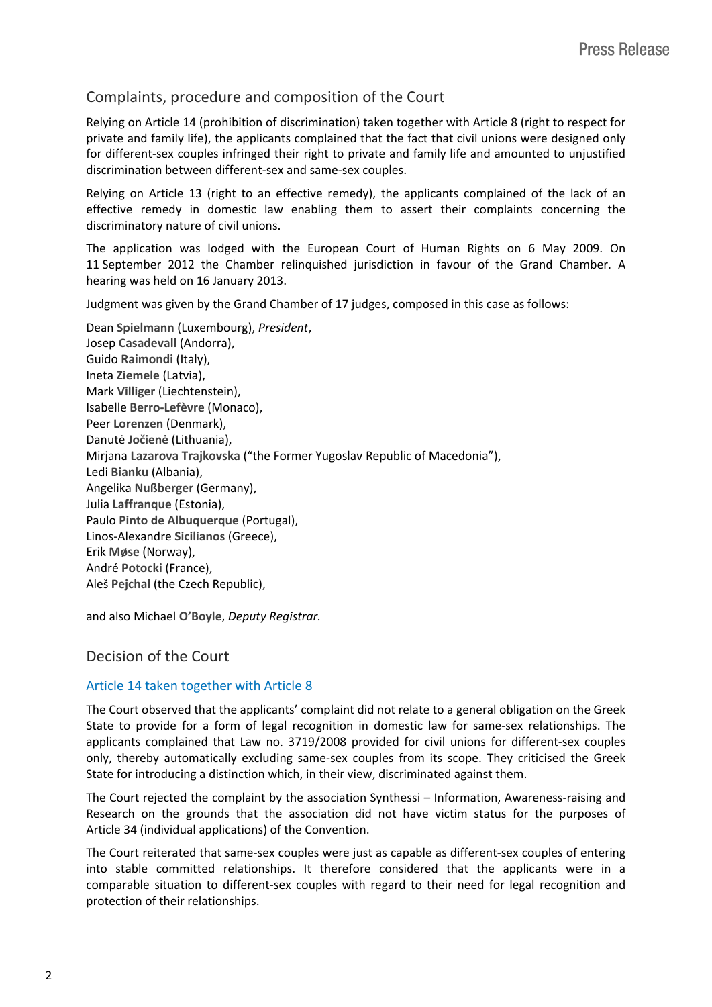## Complaints, procedure and composition of the Court

Relying on Article 14 (prohibition of discrimination) taken together with Article 8 (right to respect for private and family life), the applicants complained that the fact that civil unions were designed only for different-sex couples infringed their right to private and family life and amounted to unjustified discrimination between different-sex and same-sex couples.

Relying on Article 13 (right to an effective remedy), the applicants complained of the lack of an effective remedy in domestic law enabling them to assert their complaints concerning the discriminatory nature of civil unions.

The application was lodged with the European Court of Human Rights on 6 May 2009. On 11 September 2012 the Chamber relinquished jurisdiction in favour of the Grand Chamber. A hearing was held on 16 January 2013.

Judgment was given by the Grand Chamber of 17 judges, composed in this case as follows:

Dean **Spielmann** (Luxembourg), *President*, Josep **Casadevall** (Andorra), Guido **Raimondi** (Italy), Ineta **Ziemele** (Latvia), Mark **Villiger** (Liechtenstein), Isabelle **Berro-Lefèvre** (Monaco), Peer **Lorenzen** (Denmark), Danutė **Jočienė** (Lithuania), Mirjana **Lazarova Trajkovska** ("the Former Yugoslav Republic of Macedonia"), Ledi **Bianku** (Albania), Angelika **Nußberger** (Germany), Julia **Laffranque** (Estonia), Paulo **Pinto de Albuquerque** (Portugal), Linos-Alexandre **Sicilianos** (Greece), Erik **Møse** (Norway), André **Potocki** (France), Aleš **Pejchal** (the Czech Republic),

and also Michael **O'Boyle**, *Deputy Registrar.*

## Decision of the Court

### Article 14 taken together with Article 8

The Court observed that the applicants' complaint did not relate to a general obligation on the Greek State to provide for a form of legal recognition in domestic law for same-sex relationships. The applicants complained that Law no. 3719/2008 provided for civil unions for different-sex couples only, thereby automatically excluding same-sex couples from its scope. They criticised the Greek State for introducing a distinction which, in their view, discriminated against them.

The Court rejected the complaint by the association Synthessi – Information, Awareness-raising and Research on the grounds that the association did not have victim status for the purposes of Article 34 (individual applications) of the Convention.

The Court reiterated that same-sex couples were just as capable as different-sex couples of entering into stable committed relationships. It therefore considered that the applicants were in a comparable situation to different-sex couples with regard to their need for legal recognition and protection of their relationships.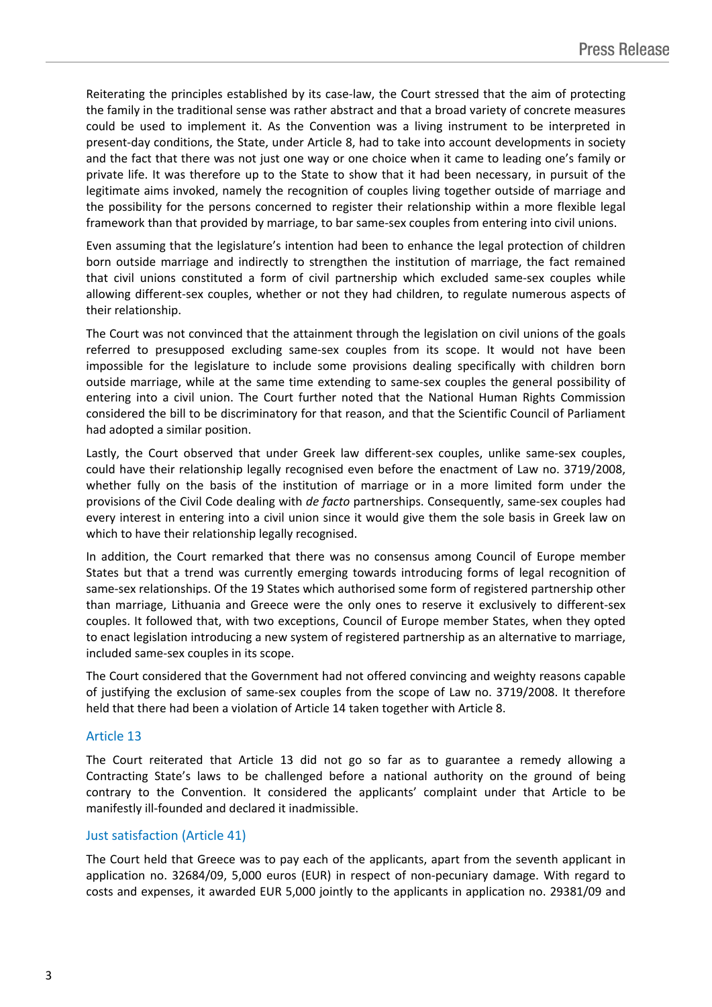Reiterating the principles established by its case-law, the Court stressed that the aim of protecting the family in the traditional sense was rather abstract and that a broad variety of concrete measures could be used to implement it. As the Convention was a living instrument to be interpreted in present-day conditions, the State, under Article 8, had to take into account developments in society and the fact that there was not just one way or one choice when it came to leading one's family or private life. It was therefore up to the State to show that it had been necessary, in pursuit of the legitimate aims invoked, namely the recognition of couples living together outside of marriage and the possibility for the persons concerned to register their relationship within a more flexible legal framework than that provided by marriage, to bar same-sex couples from entering into civil unions.

Even assuming that the legislature's intention had been to enhance the legal protection of children born outside marriage and indirectly to strengthen the institution of marriage, the fact remained that civil unions constituted a form of civil partnership which excluded same-sex couples while allowing different-sex couples, whether or not they had children, to regulate numerous aspects of their relationship.

The Court was not convinced that the attainment through the legislation on civil unions of the goals referred to presupposed excluding same-sex couples from its scope. It would not have been impossible for the legislature to include some provisions dealing specifically with children born outside marriage, while at the same time extending to same-sex couples the general possibility of entering into a civil union. The Court further noted that the National Human Rights Commission considered the bill to be discriminatory for that reason, and that the Scientific Council of Parliament had adopted a similar position.

Lastly, the Court observed that under Greek law different-sex couples, unlike same-sex couples, could have their relationship legally recognised even before the enactment of Law no. 3719/2008, whether fully on the basis of the institution of marriage or in a more limited form under the provisions of the Civil Code dealing with *de facto* partnerships. Consequently, same-sex couples had every interest in entering into a civil union since it would give them the sole basis in Greek law on which to have their relationship legally recognised.

In addition, the Court remarked that there was no consensus among Council of Europe member States but that a trend was currently emerging towards introducing forms of legal recognition of same-sex relationships. Of the 19 States which authorised some form of registered partnership other than marriage, Lithuania and Greece were the only ones to reserve it exclusively to different-sex couples. It followed that, with two exceptions, Council of Europe member States, when they opted to enact legislation introducing a new system of registered partnership as an alternative to marriage, included same-sex couples in its scope.

The Court considered that the Government had not offered convincing and weighty reasons capable of justifying the exclusion of same-sex couples from the scope of Law no. 3719/2008. It therefore held that there had been a violation of Article 14 taken together with Article 8.

### Article 13

The Court reiterated that Article 13 did not go so far as to guarantee a remedy allowing a Contracting State's laws to be challenged before a national authority on the ground of being contrary to the Convention. It considered the applicants' complaint under that Article to be manifestly ill-founded and declared it inadmissible.

### Just satisfaction (Article 41)

The Court held that Greece was to pay each of the applicants, apart from the seventh applicant in application no. 32684/09, 5,000 euros (EUR) in respect of non-pecuniary damage. With regard to costs and expenses, it awarded EUR 5,000 jointly to the applicants in application no. 29381/09 and